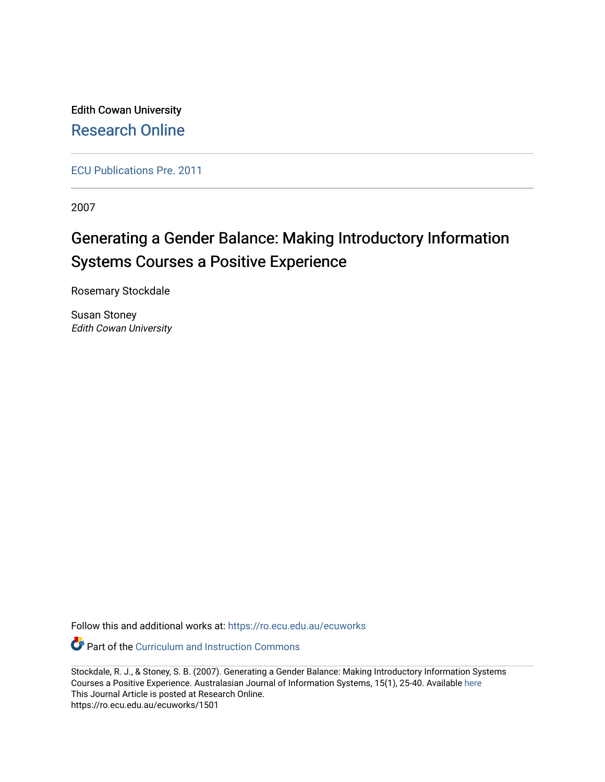Edith Cowan University [Research Online](https://ro.ecu.edu.au/) 

[ECU Publications Pre. 2011](https://ro.ecu.edu.au/ecuworks)

2007

# Generating a Gender Balance: Making Introductory Information Systems Courses a Positive Experience

Rosemary Stockdale

Susan Stoney Edith Cowan University

Follow this and additional works at: [https://ro.ecu.edu.au/ecuworks](https://ro.ecu.edu.au/ecuworks?utm_source=ro.ecu.edu.au%2Fecuworks%2F1501&utm_medium=PDF&utm_campaign=PDFCoverPages) 

Part of the [Curriculum and Instruction Commons](http://network.bepress.com/hgg/discipline/786?utm_source=ro.ecu.edu.au%2Fecuworks%2F1501&utm_medium=PDF&utm_campaign=PDFCoverPages) 

Stockdale, R. J., & Stoney, S. B. (2007). Generating a Gender Balance: Making Introductory Information Systems Courses a Positive Experience. Australasian Journal of Information Systems, 15(1), 25-40. Available [here](http://dx.doi.org/10.3127/ajis.v15i1.477)  This Journal Article is posted at Research Online. https://ro.ecu.edu.au/ecuworks/1501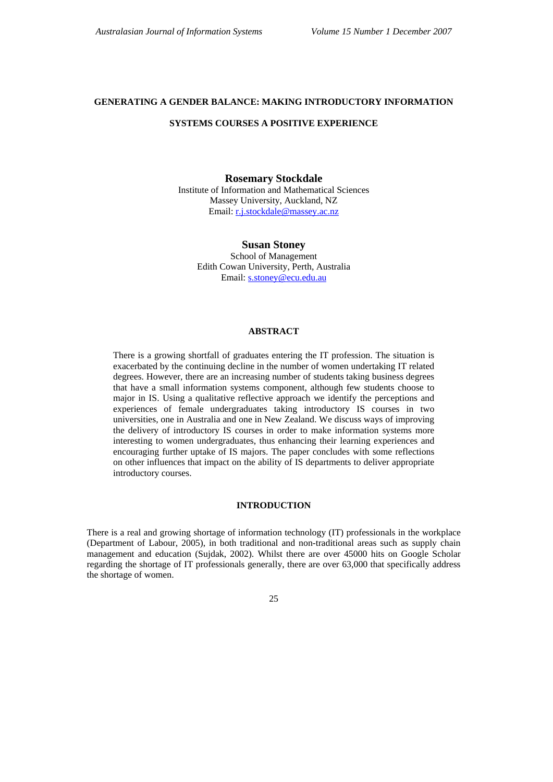# **GENERATING A GENDER BALANCE: MAKING INTRODUCTORY INFORMATION**

# **SYSTEMS COURSES A POSITIVE EXPERIENCE**

# **Rosemary Stockdale**

Institute of Information and Mathematical Sciences Massey University, Auckland, NZ Email: r.j.stockdale@massey.ac.nz

# **Susan Stoney**

School of Management Edith Cowan University, Perth, Australia Email: s.stoney@ecu.edu.au

# **ABSTRACT**

There is a growing shortfall of graduates entering the IT profession. The situation is exacerbated by the continuing decline in the number of women undertaking IT related degrees. However, there are an increasing number of students taking business degrees that have a small information systems component, although few students choose to major in IS. Using a qualitative reflective approach we identify the perceptions and experiences of female undergraduates taking introductory IS courses in two universities, one in Australia and one in New Zealand. We discuss ways of improving the delivery of introductory IS courses in order to make information systems more interesting to women undergraduates, thus enhancing their learning experiences and encouraging further uptake of IS majors. The paper concludes with some reflections on other influences that impact on the ability of IS departments to deliver appropriate introductory courses.

# **INTRODUCTION**

There is a real and growing shortage of information technology (IT) professionals in the workplace (Department of Labour, 2005), in both traditional and non-traditional areas such as supply chain management and education (Sujdak, 2002). Whilst there are over 45000 hits on Google Scholar regarding the shortage of IT professionals generally, there are over 63,000 that specifically address the shortage of women.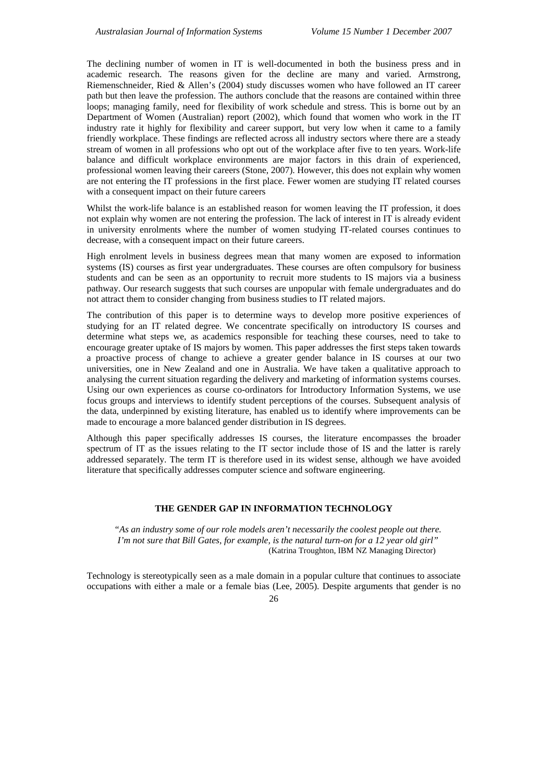The declining number of women in IT is well-documented in both the business press and in academic research. The reasons given for the decline are many and varied. Armstrong, Riemenschneider, Ried & Allen's (2004) study discusses women who have followed an IT career path but then leave the profession. The authors conclude that the reasons are contained within three loops; managing family, need for flexibility of work schedule and stress. This is borne out by an Department of Women (Australian) report (2002), which found that women who work in the IT industry rate it highly for flexibility and career support, but very low when it came to a family friendly workplace. These findings are reflected across all industry sectors where there are a steady stream of women in all professions who opt out of the workplace after five to ten years. Work-life balance and difficult workplace environments are major factors in this drain of experienced, professional women leaving their careers (Stone, 2007). However, this does not explain why women are not entering the IT professions in the first place. Fewer women are studying IT related courses with a consequent impact on their future careers

Whilst the work-life balance is an established reason for women leaving the IT profession, it does not explain why women are not entering the profession. The lack of interest in IT is already evident in university enrolments where the number of women studying IT-related courses continues to decrease, with a consequent impact on their future careers.

High enrolment levels in business degrees mean that many women are exposed to information systems (IS) courses as first year undergraduates. These courses are often compulsory for business students and can be seen as an opportunity to recruit more students to IS majors via a business pathway. Our research suggests that such courses are unpopular with female undergraduates and do not attract them to consider changing from business studies to IT related majors.

The contribution of this paper is to determine ways to develop more positive experiences of studying for an IT related degree. We concentrate specifically on introductory IS courses and determine what steps we, as academics responsible for teaching these courses, need to take to encourage greater uptake of IS majors by women. This paper addresses the first steps taken towards a proactive process of change to achieve a greater gender balance in IS courses at our two universities, one in New Zealand and one in Australia. We have taken a qualitative approach to analysing the current situation regarding the delivery and marketing of information systems courses. Using our own experiences as course co-ordinators for Introductory Information Systems, we use focus groups and interviews to identify student perceptions of the courses. Subsequent analysis of the data, underpinned by existing literature, has enabled us to identify where improvements can be made to encourage a more balanced gender distribution in IS degrees.

Although this paper specifically addresses IS courses, the literature encompasses the broader spectrum of IT as the issues relating to the IT sector include those of IS and the latter is rarely addressed separately. The term IT is therefore used in its widest sense, although we have avoided literature that specifically addresses computer science and software engineering.

# **THE GENDER GAP IN INFORMATION TECHNOLOGY**

*"As an industry some of our role models aren't necessarily the coolest people out there. I'm not sure that Bill Gates, for example, is the natural turn-on for a 12 year old girl"*  (Katrina Troughton, IBM NZ Managing Director)

Technology is stereotypically seen as a male domain in a popular culture that continues to associate occupations with either a male or a female bias (Lee, 2005). Despite arguments that gender is no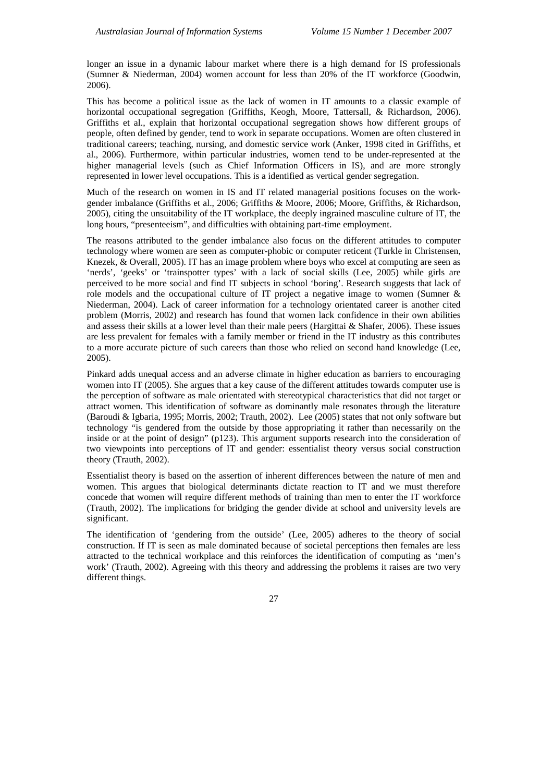longer an issue in a dynamic labour market where there is a high demand for IS professionals (Sumner & Niederman, 2004) women account for less than 20% of the IT workforce (Goodwin, 2006).

This has become a political issue as the lack of women in IT amounts to a classic example of horizontal occupational segregation (Griffiths, Keogh, Moore, Tattersall, & Richardson, 2006). Griffiths et al., explain that horizontal occupational segregation shows how different groups of people, often defined by gender, tend to work in separate occupations. Women are often clustered in traditional careers; teaching, nursing, and domestic service work (Anker, 1998 cited in Griffiths, et al., 2006). Furthermore, within particular industries, women tend to be under-represented at the higher managerial levels (such as Chief Information Officers in IS), and are more strongly represented in lower level occupations. This is a identified as vertical gender segregation.

Much of the research on women in IS and IT related managerial positions focuses on the workgender imbalance (Griffiths et al., 2006; Griffiths & Moore, 2006; Moore, Griffiths, & Richardson, 2005), citing the unsuitability of the IT workplace, the deeply ingrained masculine culture of IT, the long hours, "presenteeism", and difficulties with obtaining part-time employment.

The reasons attributed to the gender imbalance also focus on the different attitudes to computer technology where women are seen as computer-phobic or computer reticent (Turkle in Christensen, Knezek, & Overall, 2005). IT has an image problem where boys who excel at computing are seen as 'nerds', 'geeks' or 'trainspotter types' with a lack of social skills (Lee, 2005) while girls are perceived to be more social and find IT subjects in school 'boring'. Research suggests that lack of role models and the occupational culture of IT project a negative image to women (Sumner & Niederman, 2004). Lack of career information for a technology orientated career is another cited problem (Morris, 2002) and research has found that women lack confidence in their own abilities and assess their skills at a lower level than their male peers (Hargittai  $\&$  Shafer, 2006). These issues are less prevalent for females with a family member or friend in the IT industry as this contributes to a more accurate picture of such careers than those who relied on second hand knowledge (Lee, 2005).

Pinkard adds unequal access and an adverse climate in higher education as barriers to encouraging women into IT (2005). She argues that a key cause of the different attitudes towards computer use is the perception of software as male orientated with stereotypical characteristics that did not target or attract women. This identification of software as dominantly male resonates through the literature (Baroudi & Igbaria, 1995; Morris, 2002; Trauth, 2002). Lee (2005) states that not only software but technology "is gendered from the outside by those appropriating it rather than necessarily on the inside or at the point of design" (p123). This argument supports research into the consideration of two viewpoints into perceptions of IT and gender: essentialist theory versus social construction theory (Trauth, 2002).

Essentialist theory is based on the assertion of inherent differences between the nature of men and women. This argues that biological determinants dictate reaction to IT and we must therefore concede that women will require different methods of training than men to enter the IT workforce (Trauth, 2002). The implications for bridging the gender divide at school and university levels are significant.

The identification of 'gendering from the outside' (Lee, 2005) adheres to the theory of social construction. If IT is seen as male dominated because of societal perceptions then females are less attracted to the technical workplace and this reinforces the identification of computing as 'men's work' (Trauth, 2002). Agreeing with this theory and addressing the problems it raises are two very different things.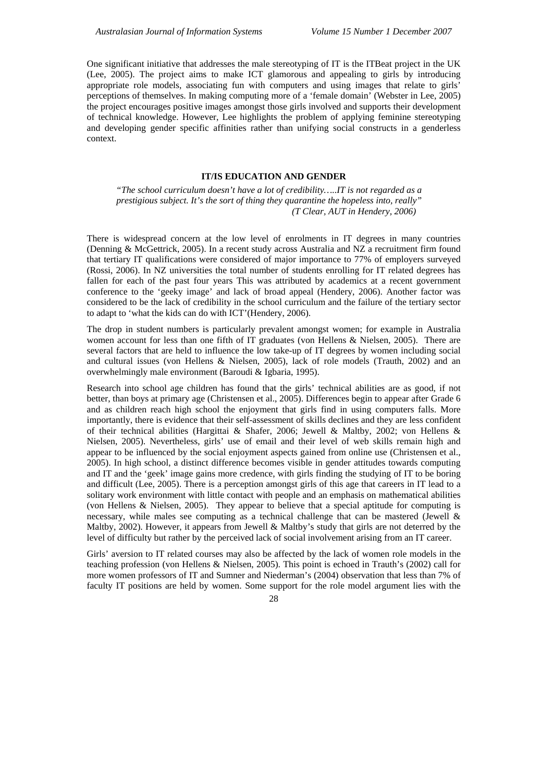One significant initiative that addresses the male stereotyping of IT is the ITBeat project in the UK (Lee, 2005). The project aims to make ICT glamorous and appealing to girls by introducing appropriate role models, associating fun with computers and using images that relate to girls' perceptions of themselves. In making computing more of a 'female domain' (Webster in Lee, 2005) the project encourages positive images amongst those girls involved and supports their development of technical knowledge. However, Lee highlights the problem of applying feminine stereotyping and developing gender specific affinities rather than unifying social constructs in a genderless context.

#### **IT/IS EDUCATION AND GENDER**

*"The school curriculum doesn't have a lot of credibility…..IT is not regarded as a prestigious subject. It's the sort of thing they quarantine the hopeless into, really" (T Clear, AUT in Hendery, 2006)* 

There is widespread concern at the low level of enrolments in IT degrees in many countries (Denning & McGettrick, 2005). In a recent study across Australia and NZ a recruitment firm found that tertiary IT qualifications were considered of major importance to 77% of employers surveyed (Rossi, 2006). In NZ universities the total number of students enrolling for IT related degrees has fallen for each of the past four years This was attributed by academics at a recent government conference to the 'geeky image' and lack of broad appeal (Hendery, 2006). Another factor was considered to be the lack of credibility in the school curriculum and the failure of the tertiary sector to adapt to 'what the kids can do with ICT'(Hendery, 2006).

The drop in student numbers is particularly prevalent amongst women; for example in Australia women account for less than one fifth of IT graduates (von Hellens & Nielsen, 2005). There are several factors that are held to influence the low take-up of IT degrees by women including social and cultural issues (von Hellens & Nielsen, 2005), lack of role models (Trauth, 2002) and an overwhelmingly male environment (Baroudi & Igbaria, 1995).

Research into school age children has found that the girls' technical abilities are as good, if not better, than boys at primary age (Christensen et al., 2005). Differences begin to appear after Grade 6 and as children reach high school the enjoyment that girls find in using computers falls. More importantly, there is evidence that their self-assessment of skills declines and they are less confident of their technical abilities (Hargittai & Shafer, 2006; Jewell & Maltby, 2002; von Hellens & Nielsen, 2005). Nevertheless, girls' use of email and their level of web skills remain high and appear to be influenced by the social enjoyment aspects gained from online use (Christensen et al., 2005). In high school, a distinct difference becomes visible in gender attitudes towards computing and IT and the 'geek' image gains more credence, with girls finding the studying of IT to be boring and difficult (Lee, 2005). There is a perception amongst girls of this age that careers in IT lead to a solitary work environment with little contact with people and an emphasis on mathematical abilities (von Hellens & Nielsen, 2005). They appear to believe that a special aptitude for computing is necessary, while males see computing as a technical challenge that can be mastered (Jewell  $\&$ Maltby, 2002). However, it appears from Jewell & Maltby's study that girls are not deterred by the level of difficulty but rather by the perceived lack of social involvement arising from an IT career.

Girls' aversion to IT related courses may also be affected by the lack of women role models in the teaching profession (von Hellens & Nielsen, 2005). This point is echoed in Trauth's (2002) call for more women professors of IT and Sumner and Niederman's (2004) observation that less than 7% of faculty IT positions are held by women. Some support for the role model argument lies with the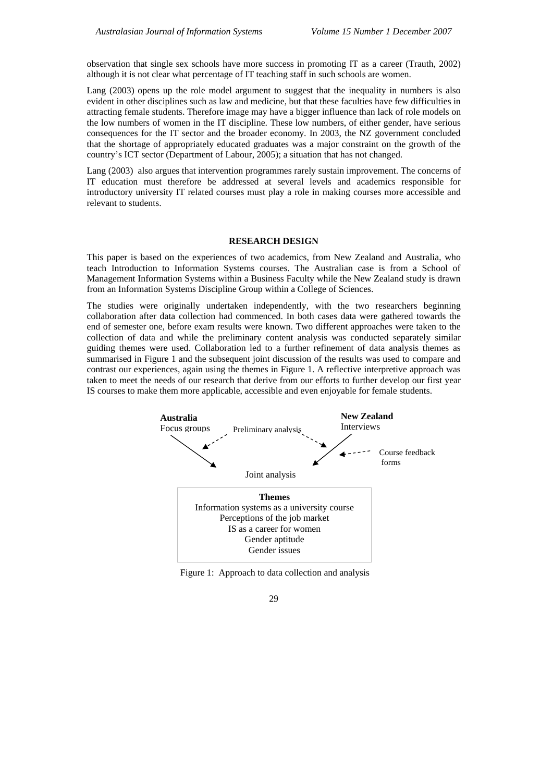observation that single sex schools have more success in promoting IT as a career (Trauth, 2002) although it is not clear what percentage of IT teaching staff in such schools are women.

Lang (2003) opens up the role model argument to suggest that the inequality in numbers is also evident in other disciplines such as law and medicine, but that these faculties have few difficulties in attracting female students. Therefore image may have a bigger influence than lack of role models on the low numbers of women in the IT discipline. These low numbers, of either gender, have serious consequences for the IT sector and the broader economy. In 2003, the NZ government concluded that the shortage of appropriately educated graduates was a major constraint on the growth of the country's ICT sector (Department of Labour, 2005); a situation that has not changed.

Lang (2003) also argues that intervention programmes rarely sustain improvement. The concerns of IT education must therefore be addressed at several levels and academics responsible for introductory university IT related courses must play a role in making courses more accessible and relevant to students.

#### **RESEARCH DESIGN**

This paper is based on the experiences of two academics, from New Zealand and Australia, who teach Introduction to Information Systems courses. The Australian case is from a School of Management Information Systems within a Business Faculty while the New Zealand study is drawn from an Information Systems Discipline Group within a College of Sciences.

The studies were originally undertaken independently, with the two researchers beginning collaboration after data collection had commenced. In both cases data were gathered towards the end of semester one, before exam results were known. Two different approaches were taken to the collection of data and while the preliminary content analysis was conducted separately similar guiding themes were used. Collaboration led to a further refinement of data analysis themes as summarised in Figure 1 and the subsequent joint discussion of the results was used to compare and contrast our experiences, again using the themes in Figure 1. A reflective interpretive approach was taken to meet the needs of our research that derive from our efforts to further develop our first year IS courses to make them more applicable, accessible and even enjoyable for female students.



Figure 1: Approach to data collection and analysis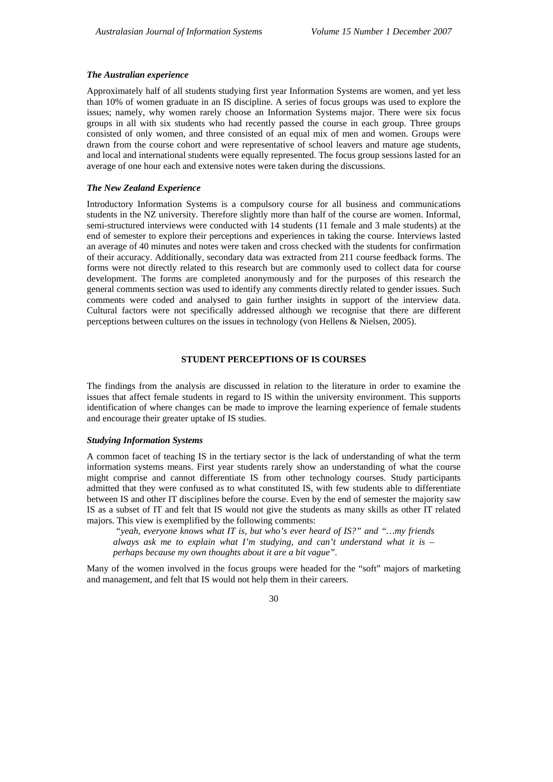#### *The Australian experience*

Approximately half of all students studying first year Information Systems are women, and yet less than 10% of women graduate in an IS discipline. A series of focus groups was used to explore the issues; namely, why women rarely choose an Information Systems major. There were six focus groups in all with six students who had recently passed the course in each group. Three groups consisted of only women, and three consisted of an equal mix of men and women. Groups were drawn from the course cohort and were representative of school leavers and mature age students, and local and international students were equally represented. The focus group sessions lasted for an average of one hour each and extensive notes were taken during the discussions.

#### *The New Zealand Experience*

Introductory Information Systems is a compulsory course for all business and communications students in the NZ university. Therefore slightly more than half of the course are women. Informal, semi-structured interviews were conducted with 14 students (11 female and 3 male students) at the end of semester to explore their perceptions and experiences in taking the course. Interviews lasted an average of 40 minutes and notes were taken and cross checked with the students for confirmation of their accuracy. Additionally, secondary data was extracted from 211 course feedback forms. The forms were not directly related to this research but are commonly used to collect data for course development. The forms are completed anonymously and for the purposes of this research the general comments section was used to identify any comments directly related to gender issues. Such comments were coded and analysed to gain further insights in support of the interview data. Cultural factors were not specifically addressed although we recognise that there are different perceptions between cultures on the issues in technology (von Hellens & Nielsen, 2005).

# **STUDENT PERCEPTIONS OF IS COURSES**

The findings from the analysis are discussed in relation to the literature in order to examine the issues that affect female students in regard to IS within the university environment. This supports identification of where changes can be made to improve the learning experience of female students and encourage their greater uptake of IS studies.

#### *Studying Information Systems*

A common facet of teaching IS in the tertiary sector is the lack of understanding of what the term information systems means. First year students rarely show an understanding of what the course might comprise and cannot differentiate IS from other technology courses. Study participants admitted that they were confused as to what constituted IS, with few students able to differentiate between IS and other IT disciplines before the course. Even by the end of semester the majority saw IS as a subset of IT and felt that IS would not give the students as many skills as other IT related majors. This view is exemplified by the following comments:

 *"yeah, everyone knows what IT is, but who's ever heard of IS?" and "…my friends always ask me to explain what I'm studying, and can't understand what it is – perhaps because my own thoughts about it are a bit vague".* 

Many of the women involved in the focus groups were headed for the "soft" majors of marketing and management, and felt that IS would not help them in their careers.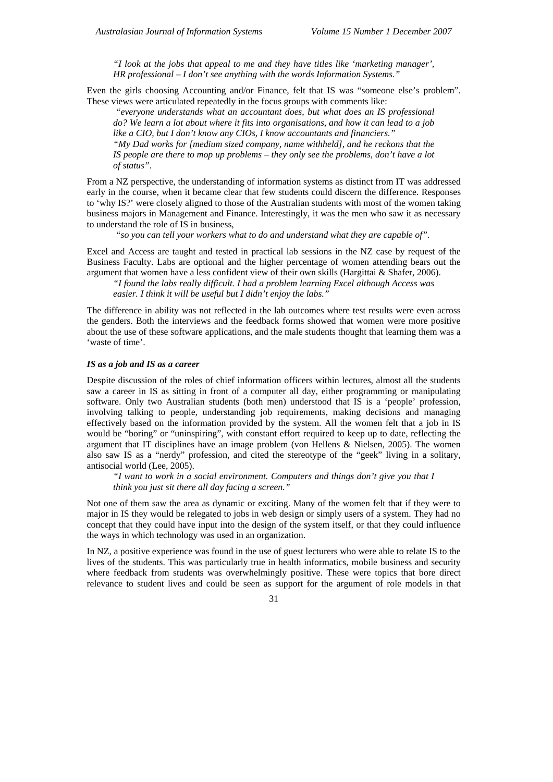*"I look at the jobs that appeal to me and they have titles like 'marketing manager', HR professional – I don't see anything with the words Information Systems."* 

Even the girls choosing Accounting and/or Finance, felt that IS was "someone else's problem". These views were articulated repeatedly in the focus groups with comments like:

 *"everyone understands what an accountant does, but what does an IS professional do? We learn a lot about where it fits into organisations, and how it can lead to a job like a CIO, but I don't know any CIOs, I know accountants and financiers." "My Dad works for [medium sized company, name withheld], and he reckons that the IS people are there to mop up problems – they only see the problems, don't have a lot of status".* 

From a NZ perspective, the understanding of information systems as distinct from IT was addressed early in the course, when it became clear that few students could discern the difference. Responses to 'why IS?' were closely aligned to those of the Australian students with most of the women taking business majors in Management and Finance. Interestingly, it was the men who saw it as necessary to understand the role of IS in business,

 *"so you can tell your workers what to do and understand what they are capable of".* 

Excel and Access are taught and tested in practical lab sessions in the NZ case by request of the Business Faculty. Labs are optional and the higher percentage of women attending bears out the argument that women have a less confident view of their own skills (Hargittai & Shafer, 2006).

*"I found the labs really difficult. I had a problem learning Excel although Access was easier. I think it will be useful but I didn't enjoy the labs."* 

The difference in ability was not reflected in the lab outcomes where test results were even across the genders. Both the interviews and the feedback forms showed that women were more positive about the use of these software applications, and the male students thought that learning them was a 'waste of time'.

#### *IS as a job and IS as a career*

Despite discussion of the roles of chief information officers within lectures, almost all the students saw a career in IS as sitting in front of a computer all day, either programming or manipulating software. Only two Australian students (both men) understood that IS is a 'people' profession, involving talking to people, understanding job requirements, making decisions and managing effectively based on the information provided by the system. All the women felt that a job in IS would be "boring" or "uninspiring", with constant effort required to keep up to date, reflecting the argument that IT disciplines have an image problem (von Hellens & Nielsen, 2005). The women also saw IS as a "nerdy" profession, and cited the stereotype of the "geek" living in a solitary, antisocial world (Lee, 2005).

*"I want to work in a social environment. Computers and things don't give you that I think you just sit there all day facing a screen."* 

Not one of them saw the area as dynamic or exciting. Many of the women felt that if they were to major in IS they would be relegated to jobs in web design or simply users of a system. They had no concept that they could have input into the design of the system itself, or that they could influence the ways in which technology was used in an organization.

In NZ, a positive experience was found in the use of guest lecturers who were able to relate IS to the lives of the students. This was particularly true in health informatics, mobile business and security where feedback from students was overwhelmingly positive. These were topics that bore direct relevance to student lives and could be seen as support for the argument of role models in that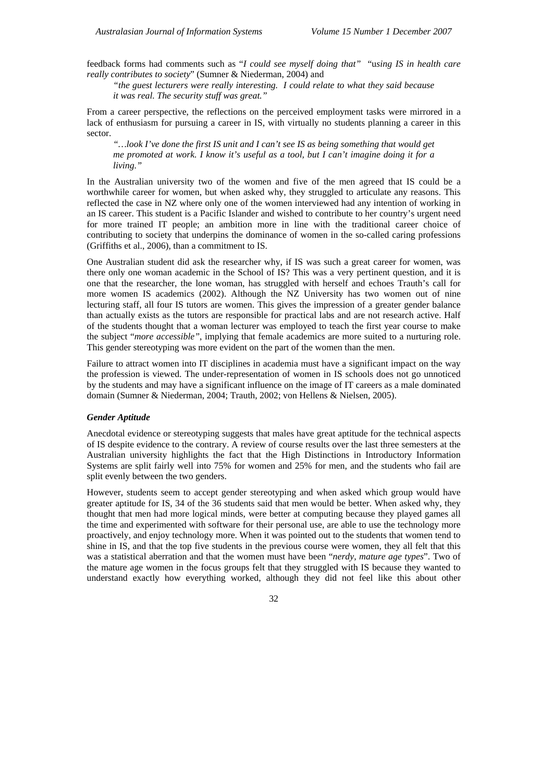feedback forms had comments such as "*I could see myself doing that"* "u*sing IS in health care really contributes to society*" (Sumner & Niederman, 2004) and

*"the guest lecturers were really interesting. I could relate to what they said because it was real. The security stuff was great."* 

From a career perspective, the reflections on the perceived employment tasks were mirrored in a lack of enthusiasm for pursuing a career in IS, with virtually no students planning a career in this sector.

*"…look I've done the first IS unit and I can't see IS as being something that would get me promoted at work. I know it's useful as a tool, but I can't imagine doing it for a living."* 

In the Australian university two of the women and five of the men agreed that IS could be a worthwhile career for women, but when asked why, they struggled to articulate any reasons. This reflected the case in NZ where only one of the women interviewed had any intention of working in an IS career. This student is a Pacific Islander and wished to contribute to her country's urgent need for more trained IT people; an ambition more in line with the traditional career choice of contributing to society that underpins the dominance of women in the so-called caring professions (Griffiths et al., 2006), than a commitment to IS.

One Australian student did ask the researcher why, if IS was such a great career for women, was there only one woman academic in the School of IS? This was a very pertinent question, and it is one that the researcher, the lone woman, has struggled with herself and echoes Trauth's call for more women IS academics (2002). Although the NZ University has two women out of nine lecturing staff, all four IS tutors are women. This gives the impression of a greater gender balance than actually exists as the tutors are responsible for practical labs and are not research active. Half of the students thought that a woman lecturer was employed to teach the first year course to make the subject "*more accessible"*, implying that female academics are more suited to a nurturing role. This gender stereotyping was more evident on the part of the women than the men.

Failure to attract women into IT disciplines in academia must have a significant impact on the way the profession is viewed. The under-representation of women in IS schools does not go unnoticed by the students and may have a significant influence on the image of IT careers as a male dominated domain (Sumner & Niederman, 2004; Trauth, 2002; von Hellens & Nielsen, 2005).

#### *Gender Aptitude*

Anecdotal evidence or stereotyping suggests that males have great aptitude for the technical aspects of IS despite evidence to the contrary. A review of course results over the last three semesters at the Australian university highlights the fact that the High Distinctions in Introductory Information Systems are split fairly well into 75% for women and 25% for men, and the students who fail are split evenly between the two genders.

However, students seem to accept gender stereotyping and when asked which group would have greater aptitude for IS, 34 of the 36 students said that men would be better. When asked why, they thought that men had more logical minds, were better at computing because they played games all the time and experimented with software for their personal use, are able to use the technology more proactively, and enjoy technology more. When it was pointed out to the students that women tend to shine in IS, and that the top five students in the previous course were women, they all felt that this was a statistical aberration and that the women must have been "*nerdy, mature age types*". Two of the mature age women in the focus groups felt that they struggled with IS because they wanted to understand exactly how everything worked, although they did not feel like this about other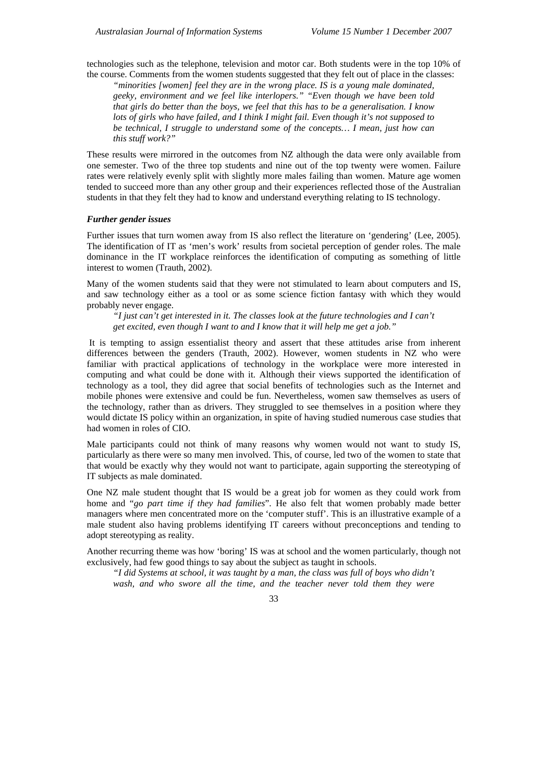technologies such as the telephone, television and motor car. Both students were in the top 10% of the course. Comments from the women students suggested that they felt out of place in the classes:

*"minorities [women] feel they are in the wrong place. IS is a young male dominated, geeky, environment and we feel like interlopers." "Even though we have been told that girls do better than the boys, we feel that this has to be a generalisation. I know lots of girls who have failed, and I think I might fail. Even though it's not supposed to be technical, I struggle to understand some of the concepts… I mean, just how can this stuff work?"* 

These results were mirrored in the outcomes from NZ although the data were only available from one semester. Two of the three top students and nine out of the top twenty were women. Failure rates were relatively evenly split with slightly more males failing than women. Mature age women tended to succeed more than any other group and their experiences reflected those of the Australian students in that they felt they had to know and understand everything relating to IS technology.

#### *Further gender issues*

Further issues that turn women away from IS also reflect the literature on 'gendering' (Lee, 2005). The identification of IT as 'men's work' results from societal perception of gender roles. The male dominance in the IT workplace reinforces the identification of computing as something of little interest to women (Trauth, 2002).

Many of the women students said that they were not stimulated to learn about computers and IS, and saw technology either as a tool or as some science fiction fantasy with which they would probably never engage.

*"I just can't get interested in it. The classes look at the future technologies and I can't get excited, even though I want to and I know that it will help me get a job."* 

 It is tempting to assign essentialist theory and assert that these attitudes arise from inherent differences between the genders (Trauth, 2002). However, women students in NZ who were familiar with practical applications of technology in the workplace were more interested in computing and what could be done with it. Although their views supported the identification of technology as a tool, they did agree that social benefits of technologies such as the Internet and mobile phones were extensive and could be fun. Nevertheless, women saw themselves as users of the technology, rather than as drivers. They struggled to see themselves in a position where they would dictate IS policy within an organization, in spite of having studied numerous case studies that had women in roles of CIO.

Male participants could not think of many reasons why women would not want to study IS, particularly as there were so many men involved. This, of course, led two of the women to state that that would be exactly why they would not want to participate, again supporting the stereotyping of IT subjects as male dominated.

One NZ male student thought that IS would be a great job for women as they could work from home and "*go part time if they had families*". He also felt that women probably made better managers where men concentrated more on the 'computer stuff'. This is an illustrative example of a male student also having problems identifying IT careers without preconceptions and tending to adopt stereotyping as reality.

Another recurring theme was how 'boring' IS was at school and the women particularly, though not exclusively, had few good things to say about the subject as taught in schools.

*"I did Systems at school, it was taught by a man, the class was full of boys who didn't*  wash, and who swore all the time, and the teacher never told them they were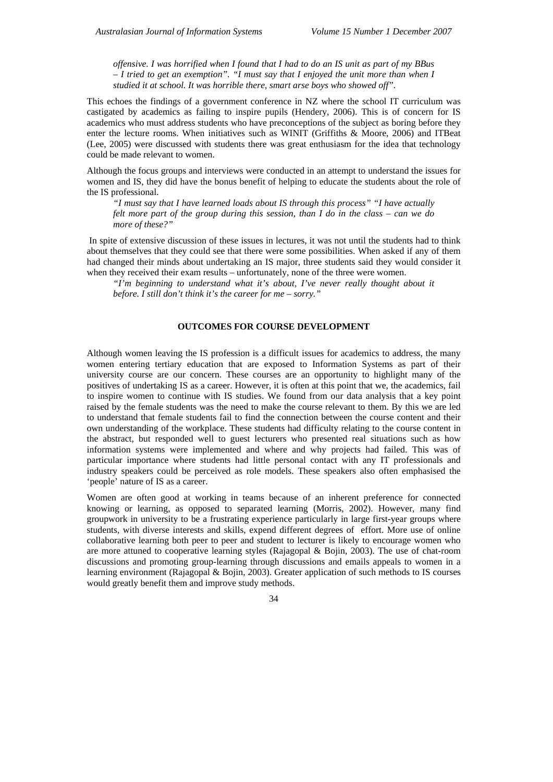*offensive. I was horrified when I found that I had to do an IS unit as part of my BBus – I tried to get an exemption". "I must say that I enjoyed the unit more than when I studied it at school. It was horrible there, smart arse boys who showed off".* 

This echoes the findings of a government conference in NZ where the school IT curriculum was castigated by academics as failing to inspire pupils (Hendery, 2006). This is of concern for IS academics who must address students who have preconceptions of the subject as boring before they enter the lecture rooms. When initiatives such as WINIT (Griffiths & Moore, 2006) and ITBeat (Lee, 2005) were discussed with students there was great enthusiasm for the idea that technology could be made relevant to women.

Although the focus groups and interviews were conducted in an attempt to understand the issues for women and IS, they did have the bonus benefit of helping to educate the students about the role of the IS professional.

*"I must say that I have learned loads about IS through this process" "I have actually felt more part of the group during this session, than I do in the class – can we do more of these?"* 

 In spite of extensive discussion of these issues in lectures, it was not until the students had to think about themselves that they could see that there were some possibilities. When asked if any of them had changed their minds about undertaking an IS major, three students said they would consider it when they received their exam results – unfortunately, none of the three were women.

*"I'm beginning to understand what it's about, I've never really thought about it before. I still don't think it's the career for me – sorry."* 

# **OUTCOMES FOR COURSE DEVELOPMENT**

Although women leaving the IS profession is a difficult issues for academics to address, the many women entering tertiary education that are exposed to Information Systems as part of their university course are our concern. These courses are an opportunity to highlight many of the positives of undertaking IS as a career. However, it is often at this point that we, the academics, fail to inspire women to continue with IS studies. We found from our data analysis that a key point raised by the female students was the need to make the course relevant to them. By this we are led to understand that female students fail to find the connection between the course content and their own understanding of the workplace. These students had difficulty relating to the course content in the abstract, but responded well to guest lecturers who presented real situations such as how information systems were implemented and where and why projects had failed. This was of particular importance where students had little personal contact with any IT professionals and industry speakers could be perceived as role models. These speakers also often emphasised the 'people' nature of IS as a career.

Women are often good at working in teams because of an inherent preference for connected knowing or learning, as opposed to separated learning (Morris, 2002). However, many find groupwork in university to be a frustrating experience particularly in large first-year groups where students, with diverse interests and skills, expend different degrees of effort. More use of online collaborative learning both peer to peer and student to lecturer is likely to encourage women who are more attuned to cooperative learning styles (Rajagopal & Bojin, 2003). The use of chat-room discussions and promoting group-learning through discussions and emails appeals to women in a learning environment (Rajagopal & Bojin, 2003). Greater application of such methods to IS courses would greatly benefit them and improve study methods.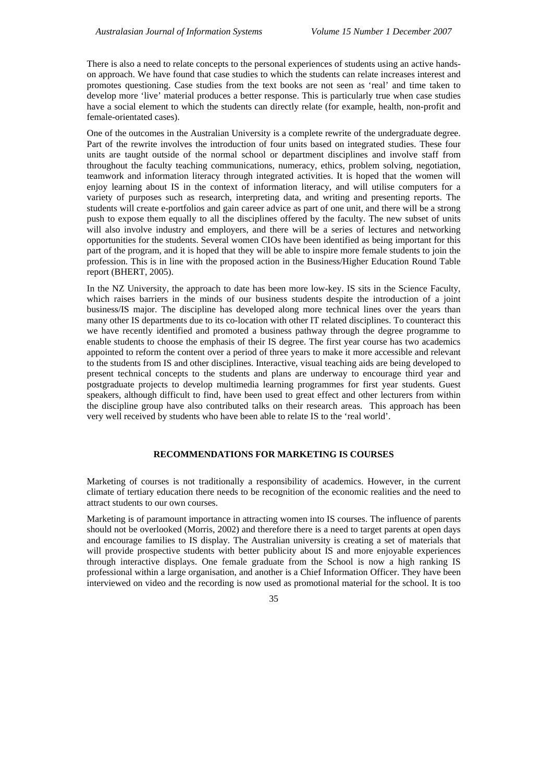There is also a need to relate concepts to the personal experiences of students using an active handson approach. We have found that case studies to which the students can relate increases interest and promotes questioning. Case studies from the text books are not seen as 'real' and time taken to develop more 'live' material produces a better response. This is particularly true when case studies have a social element to which the students can directly relate (for example, health, non-profit and female-orientated cases).

One of the outcomes in the Australian University is a complete rewrite of the undergraduate degree. Part of the rewrite involves the introduction of four units based on integrated studies. These four units are taught outside of the normal school or department disciplines and involve staff from throughout the faculty teaching communications, numeracy, ethics, problem solving, negotiation, teamwork and information literacy through integrated activities. It is hoped that the women will enjoy learning about IS in the context of information literacy, and will utilise computers for a variety of purposes such as research, interpreting data, and writing and presenting reports. The students will create e-portfolios and gain career advice as part of one unit, and there will be a strong push to expose them equally to all the disciplines offered by the faculty. The new subset of units will also involve industry and employers, and there will be a series of lectures and networking opportunities for the students. Several women CIOs have been identified as being important for this part of the program, and it is hoped that they will be able to inspire more female students to join the profession. This is in line with the proposed action in the Business/Higher Education Round Table report (BHERT, 2005).

In the NZ University, the approach to date has been more low-key. IS sits in the Science Faculty, which raises barriers in the minds of our business students despite the introduction of a joint business/IS major. The discipline has developed along more technical lines over the years than many other IS departments due to its co-location with other IT related disciplines. To counteract this we have recently identified and promoted a business pathway through the degree programme to enable students to choose the emphasis of their IS degree. The first year course has two academics appointed to reform the content over a period of three years to make it more accessible and relevant to the students from IS and other disciplines. Interactive, visual teaching aids are being developed to present technical concepts to the students and plans are underway to encourage third year and postgraduate projects to develop multimedia learning programmes for first year students. Guest speakers, although difficult to find, have been used to great effect and other lecturers from within the discipline group have also contributed talks on their research areas. This approach has been very well received by students who have been able to relate IS to the 'real world'.

# **RECOMMENDATIONS FOR MARKETING IS COURSES**

Marketing of courses is not traditionally a responsibility of academics. However, in the current climate of tertiary education there needs to be recognition of the economic realities and the need to attract students to our own courses.

Marketing is of paramount importance in attracting women into IS courses. The influence of parents should not be overlooked (Morris, 2002) and therefore there is a need to target parents at open days and encourage families to IS display. The Australian university is creating a set of materials that will provide prospective students with better publicity about IS and more enjoyable experiences through interactive displays. One female graduate from the School is now a high ranking IS professional within a large organisation, and another is a Chief Information Officer. They have been interviewed on video and the recording is now used as promotional material for the school. It is too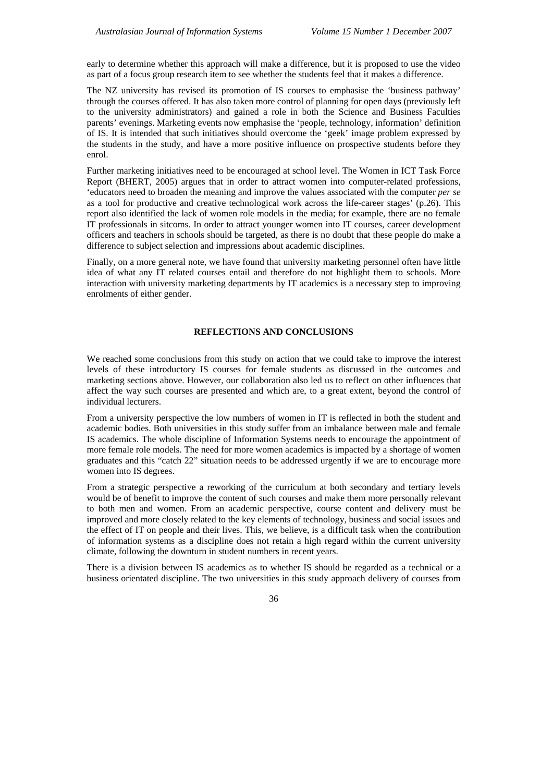early to determine whether this approach will make a difference, but it is proposed to use the video as part of a focus group research item to see whether the students feel that it makes a difference.

The NZ university has revised its promotion of IS courses to emphasise the 'business pathway' through the courses offered. It has also taken more control of planning for open days (previously left to the university administrators) and gained a role in both the Science and Business Faculties parents' evenings. Marketing events now emphasise the 'people, technology, information' definition of IS. It is intended that such initiatives should overcome the 'geek' image problem expressed by the students in the study, and have a more positive influence on prospective students before they enrol.

Further marketing initiatives need to be encouraged at school level. The Women in ICT Task Force Report (BHERT, 2005) argues that in order to attract women into computer-related professions, 'educators need to broaden the meaning and improve the values associated with the computer *per se* as a tool for productive and creative technological work across the life-career stages' (p.26). This report also identified the lack of women role models in the media; for example, there are no female IT professionals in sitcoms. In order to attract younger women into IT courses, career development officers and teachers in schools should be targeted, as there is no doubt that these people do make a difference to subject selection and impressions about academic disciplines.

Finally, on a more general note, we have found that university marketing personnel often have little idea of what any IT related courses entail and therefore do not highlight them to schools. More interaction with university marketing departments by IT academics is a necessary step to improving enrolments of either gender.

# **REFLECTIONS AND CONCLUSIONS**

We reached some conclusions from this study on action that we could take to improve the interest levels of these introductory IS courses for female students as discussed in the outcomes and marketing sections above. However, our collaboration also led us to reflect on other influences that affect the way such courses are presented and which are, to a great extent, beyond the control of individual lecturers.

From a university perspective the low numbers of women in IT is reflected in both the student and academic bodies. Both universities in this study suffer from an imbalance between male and female IS academics. The whole discipline of Information Systems needs to encourage the appointment of more female role models. The need for more women academics is impacted by a shortage of women graduates and this "catch 22" situation needs to be addressed urgently if we are to encourage more women into IS degrees.

From a strategic perspective a reworking of the curriculum at both secondary and tertiary levels would be of benefit to improve the content of such courses and make them more personally relevant to both men and women. From an academic perspective, course content and delivery must be improved and more closely related to the key elements of technology, business and social issues and the effect of IT on people and their lives. This, we believe, is a difficult task when the contribution of information systems as a discipline does not retain a high regard within the current university climate, following the downturn in student numbers in recent years.

There is a division between IS academics as to whether IS should be regarded as a technical or a business orientated discipline. The two universities in this study approach delivery of courses from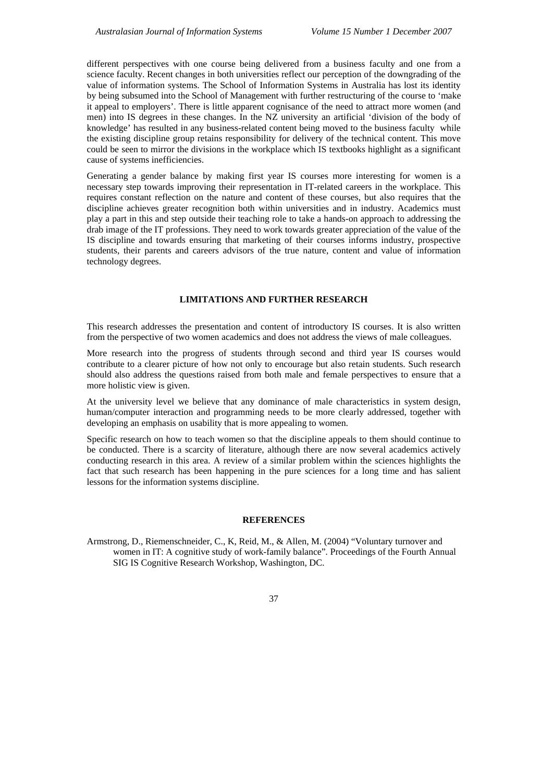different perspectives with one course being delivered from a business faculty and one from a science faculty. Recent changes in both universities reflect our perception of the downgrading of the value of information systems. The School of Information Systems in Australia has lost its identity by being subsumed into the School of Management with further restructuring of the course to 'make it appeal to employers'. There is little apparent cognisance of the need to attract more women (and men) into IS degrees in these changes. In the NZ university an artificial 'division of the body of knowledge' has resulted in any business-related content being moved to the business faculty while the existing discipline group retains responsibility for delivery of the technical content. This move could be seen to mirror the divisions in the workplace which IS textbooks highlight as a significant cause of systems inefficiencies.

Generating a gender balance by making first year IS courses more interesting for women is a necessary step towards improving their representation in IT-related careers in the workplace. This requires constant reflection on the nature and content of these courses, but also requires that the discipline achieves greater recognition both within universities and in industry. Academics must play a part in this and step outside their teaching role to take a hands-on approach to addressing the drab image of the IT professions. They need to work towards greater appreciation of the value of the IS discipline and towards ensuring that marketing of their courses informs industry, prospective students, their parents and careers advisors of the true nature, content and value of information technology degrees.

# **LIMITATIONS AND FURTHER RESEARCH**

This research addresses the presentation and content of introductory IS courses. It is also written from the perspective of two women academics and does not address the views of male colleagues.

More research into the progress of students through second and third year IS courses would contribute to a clearer picture of how not only to encourage but also retain students. Such research should also address the questions raised from both male and female perspectives to ensure that a more holistic view is given.

At the university level we believe that any dominance of male characteristics in system design, human/computer interaction and programming needs to be more clearly addressed, together with developing an emphasis on usability that is more appealing to women.

Specific research on how to teach women so that the discipline appeals to them should continue to be conducted. There is a scarcity of literature, although there are now several academics actively conducting research in this area. A review of a similar problem within the sciences highlights the fact that such research has been happening in the pure sciences for a long time and has salient lessons for the information systems discipline.

#### **REFERENCES**

Armstrong, D., Riemenschneider, C., K, Reid, M., & Allen, M. (2004) "Voluntary turnover and women in IT: A cognitive study of work-family balance"*.* Proceedings of the Fourth Annual SIG IS Cognitive Research Workshop, Washington, DC.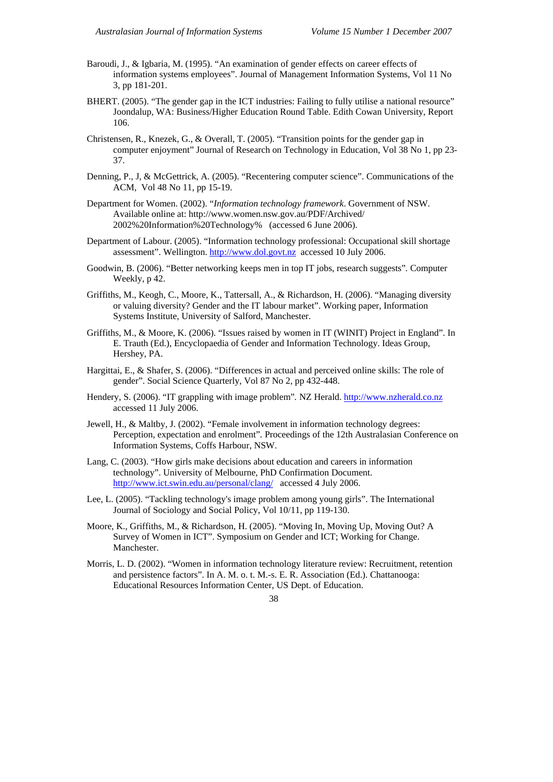- Baroudi, J., & Igbaria, M. (1995). "An examination of gender effects on career effects of information systems employees". Journal of Management Information Systems, Vol 11 No 3, pp 181-201.
- BHERT. (2005). "The gender gap in the ICT industries: Failing to fully utilise a national resource" Joondalup, WA: Business/Higher Education Round Table. Edith Cowan University, Report 106.
- Christensen, R., Knezek, G., & Overall, T. (2005). "Transition points for the gender gap in computer enjoyment" Journal of Research on Technology in Education, Vol 38 No 1, pp 23- 37.
- Denning, P., J, & McGettrick, A. (2005). "Recentering computer science". Communications of the ACM, Vol 48 No 11, pp 15-19.
- Department for Women. (2002). "*Information technology framework*. Government of NSW. Available online at: http://www.women.nsw.gov.au/PDF/Archived/ 2002%20Information%20Technology% (accessed 6 June 2006).
- Department of Labour. (2005). "Information technology professional: Occupational skill shortage assessment". Wellington. http://www.dol.govt.nz accessed 10 July 2006.
- Goodwin, B. (2006). "Better networking keeps men in top IT jobs, research suggests"*.* Computer Weekly, p 42.
- Griffiths, M., Keogh, C., Moore, K., Tattersall, A., & Richardson, H. (2006). "Managing diversity or valuing diversity? Gender and the IT labour market". Working paper, Information Systems Institute, University of Salford, Manchester.
- Griffiths, M., & Moore, K. (2006). "Issues raised by women in IT (WINIT) Project in England". In E. Trauth (Ed.), Encyclopaedia of Gender and Information Technology. Ideas Group, Hershey, PA.
- Hargittai, E., & Shafer, S. (2006). "Differences in actual and perceived online skills: The role of gender". Social Science Quarterly, Vol 87 No 2, pp 432-448.
- Hendery, S. (2006). "IT grappling with image problem"*.* NZ Herald. http://www.nzherald.co.nz accessed 11 July 2006.
- Jewell, H., & Maltby, J. (2002). "Female involvement in information technology degrees: Perception, expectation and enrolment"*.* Proceedings of the 12th Australasian Conference on Information Systems, Coffs Harbour, NSW.
- Lang, C. (2003). "How girls make decisions about education and careers in information technology". University of Melbourne, PhD Confirmation Document. http://www.ict.swin.edu.au/personal/clang/ accessed 4 July 2006.
- Lee, L. (2005). "Tackling technology's image problem among young girls". The International Journal of Sociology and Social Policy, Vol 10/11, pp 119-130.
- Moore, K., Griffiths, M., & Richardson, H. (2005). "Moving In, Moving Up, Moving Out? A Survey of Women in ICT". Symposium on Gender and ICT; Working for Change. Manchester.
- Morris, L. D. (2002). "Women in information technology literature review: Recruitment, retention and persistence factors". In A. M. o. t. M.-s. E. R. Association (Ed.). Chattanooga: Educational Resources Information Center, US Dept. of Education.